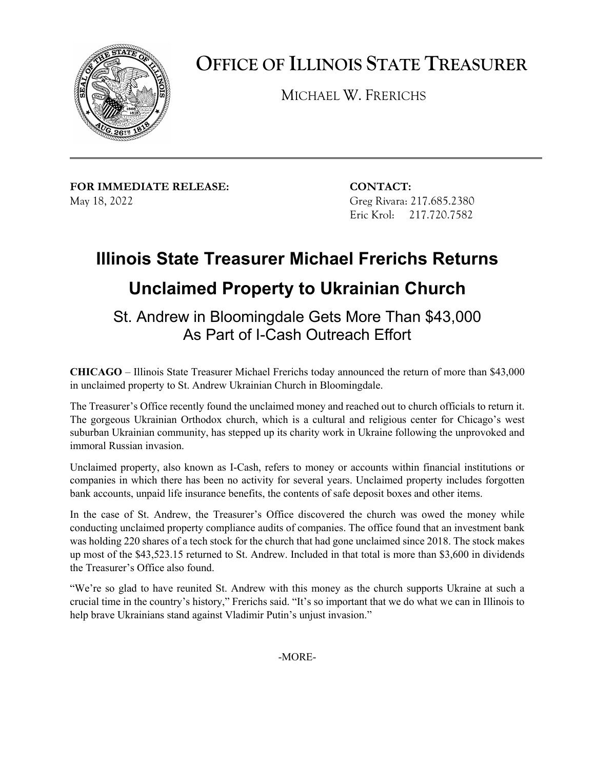

**OFFICE OF ILLINOIS STATE TREASURER** 

MICHAEL W. FRERICHS

**FOR IMMEDIATE RELEASE: CONTACT:** May 18, 2022

Greg Rivara: 217.685.2380 Eric Krol: 217.720.7582

## **Illinois State Treasurer Michael Frerichs Returns Unclaimed Property to Ukrainian Church**

 St. Andrew in Bloomingdale Gets More Than \$43,000 As Part of I-Cash Outreach Effort

 **CHICAGO** – Illinois State Treasurer Michael Frerichs today announced the return of more than \$43,000 in unclaimed property to St. Andrew Ukrainian Church in Bloomingdale.

 The Treasurer's Office recently found the unclaimed money and reached out to church officials to return it. The gorgeous Ukrainian Orthodox church, which is a cultural and religious center for Chicago's west suburban Ukrainian community, has stepped up its charity work in Ukraine following the unprovoked and immoral Russian invasion.

 Unclaimed property, also known as I-Cash, refers to money or accounts within financial institutions or companies in which there has been no activity for several years. Unclaimed property includes forgotten bank accounts, unpaid life insurance benefits, the contents of safe deposit boxes and other items.

 In the case of St. Andrew, the Treasurer's Office discovered the church was owed the money while conducting unclaimed property compliance audits of companies. The office found that an investment bank was holding 220 shares of a tech stock for the church that had gone unclaimed since 2018. The stock makes up most of the \$[43,523.15](https://43,523.15) returned to St. Andrew. Included in that total is more than \$3,600 in dividends the Treasurer's Office also found.

 "We're so glad to have reunited St. Andrew with this money as the church supports Ukraine at such a crucial time in the country's history," Frerichs said. "It's so important that we do what we can in Illinois to help brave Ukrainians stand against Vladimir Putin's unjust invasion."

-MORE-